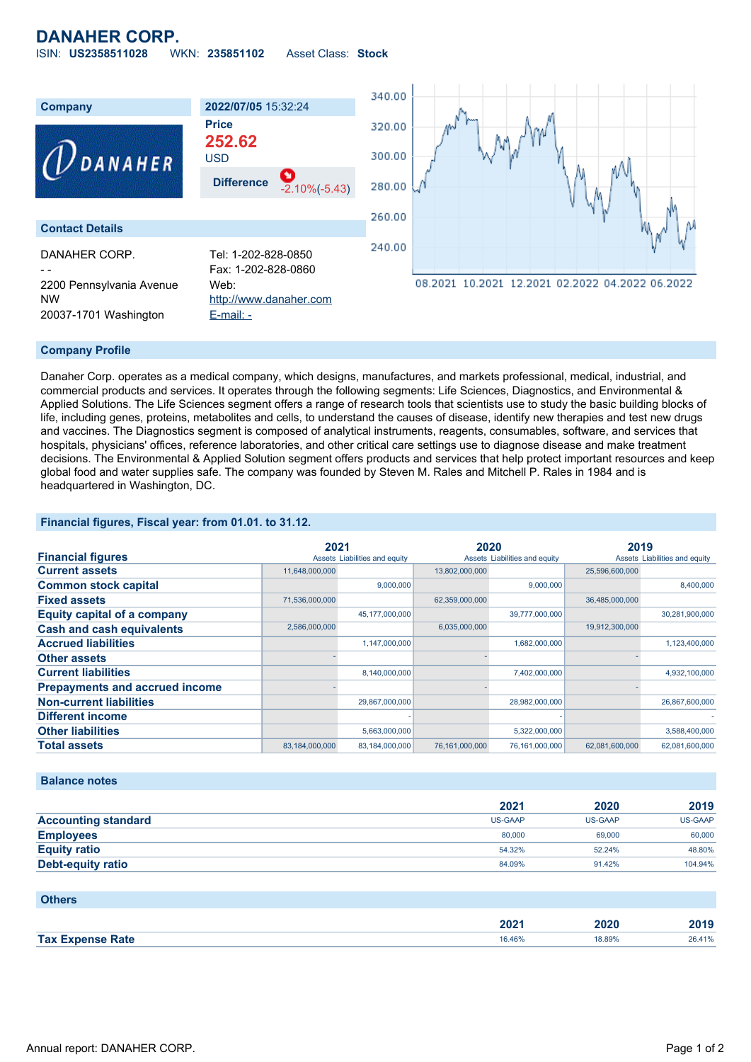# **DANAHER CORP.**

ISIN: **US2358511028** WKN: **235851102** Asset Class: **Stock**



#### **Company Profile**

Danaher Corp. operates as a medical company, which designs, manufactures, and markets professional, medical, industrial, and commercial products and services. It operates through the following segments: Life Sciences, Diagnostics, and Environmental & Applied Solutions. The Life Sciences segment offers a range of research tools that scientists use to study the basic building blocks of life, including genes, proteins, metabolites and cells, to understand the causes of disease, identify new therapies and test new drugs and vaccines. The Diagnostics segment is composed of analytical instruments, reagents, consumables, software, and services that hospitals, physicians' offices, reference laboratories, and other critical care settings use to diagnose disease and make treatment decisions. The Environmental & Applied Solution segment offers products and services that help protect important resources and keep global food and water supplies safe. The company was founded by Steven M. Rales and Mitchell P. Rales in 1984 and is headquartered in Washington, DC.

### **Financial figures, Fiscal year: from 01.01. to 31.12.**

|                                       | 2021           |                               | 2020           |                               | 2019           |                               |
|---------------------------------------|----------------|-------------------------------|----------------|-------------------------------|----------------|-------------------------------|
| <b>Financial figures</b>              |                | Assets Liabilities and equity |                | Assets Liabilities and equity |                | Assets Liabilities and equity |
| <b>Current assets</b>                 | 11,648,000,000 |                               | 13,802,000,000 |                               | 25,596,600,000 |                               |
| <b>Common stock capital</b>           |                | 9.000.000                     |                | 9,000,000                     |                | 8,400,000                     |
| <b>Fixed assets</b>                   | 71,536,000,000 |                               | 62,359,000,000 |                               | 36,485,000,000 |                               |
| <b>Equity capital of a company</b>    |                | 45,177,000,000                |                | 39,777,000,000                |                | 30,281,900,000                |
| <b>Cash and cash equivalents</b>      | 2,586,000,000  |                               | 6,035,000,000  |                               | 19,912,300,000 |                               |
| <b>Accrued liabilities</b>            |                | 1,147,000,000                 |                | 1,682,000,000                 |                | 1,123,400,000                 |
| <b>Other assets</b>                   |                |                               |                |                               |                |                               |
| <b>Current liabilities</b>            |                | 8,140,000,000                 |                | 7,402,000,000                 |                | 4,932,100,000                 |
| <b>Prepayments and accrued income</b> |                |                               |                |                               |                |                               |
| <b>Non-current liabilities</b>        |                | 29,867,000,000                |                | 28,982,000,000                |                | 26,867,600,000                |
| <b>Different income</b>               |                |                               |                |                               |                |                               |
| <b>Other liabilities</b>              |                | 5,663,000,000                 |                | 5,322,000,000                 |                | 3,588,400,000                 |
| <b>Total assets</b>                   | 83,184,000,000 | 83,184,000,000                | 76,161,000,000 | 76,161,000,000                | 62,081,600,000 | 62,081,600,000                |

#### **Balance notes**

|                            | 2021    | 2020    | 2019    |
|----------------------------|---------|---------|---------|
| <b>Accounting standard</b> | US-GAAP | US-GAAP | US-GAAP |
| <b>Employees</b>           | 80,000  | 69,000  | 60,000  |
| <b>Equity ratio</b>        | 54.32%  | 52.24%  | 48.80%  |
| <b>Debt-equity ratio</b>   | 84.09%  | 91.42%  | 104.94% |

| <b>Others</b>           |        |        |        |
|-------------------------|--------|--------|--------|
|                         | 2021   | 2020   | 2019   |
| <b>Tax Expense Rate</b> | 16.46% | 18.89% | 26.41% |